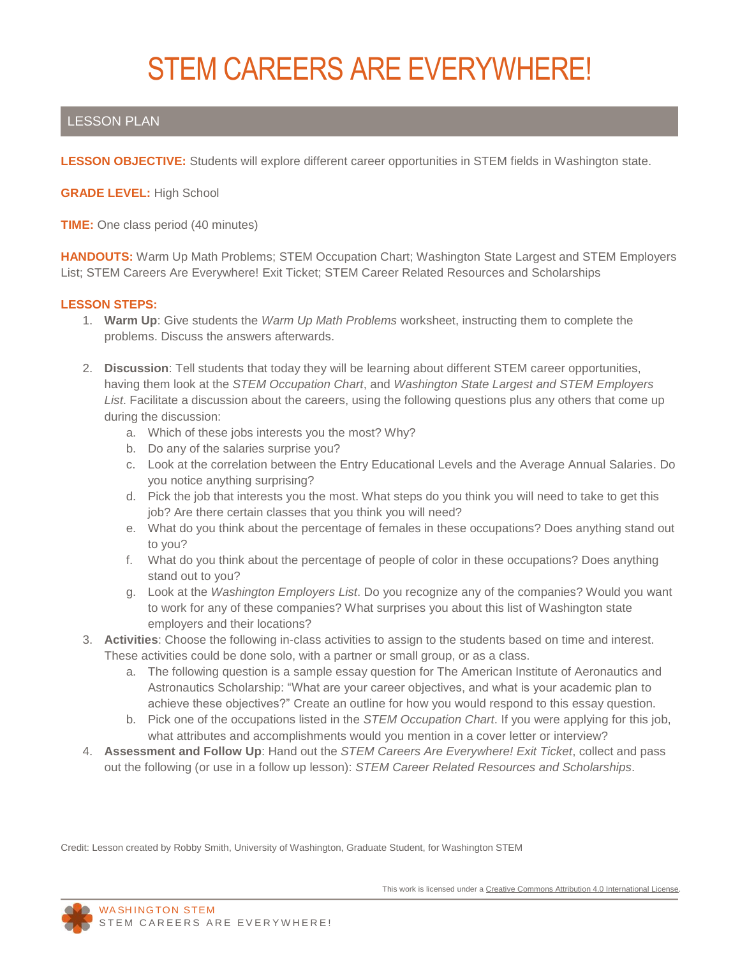# STEM CAREERS ARE EVERYWHERE!

# LESSON PLAN

**LESSON OBJECTIVE:** Students will explore different career opportunities in STEM fields in Washington state.

**GRADE LEVEL:** High School

**TIME:** One class period (40 minutes)

**HANDOUTS:** Warm Up Math Problems; STEM Occupation Chart; Washington State Largest and STEM Employers List; STEM Careers Are Everywhere! Exit Ticket; STEM Career Related Resources and Scholarships

#### **LESSON STEPS:**

- 1. **Warm Up**: Give students the *Warm Up Math Problems* worksheet, instructing them to complete the problems. Discuss the answers afterwards.
- 2. **Discussion**: Tell students that today they will be learning about different STEM career opportunities, having them look at the *STEM Occupation Chart*, and *Washington State Largest and STEM Employers List*. Facilitate a discussion about the careers, using the following questions plus any others that come up during the discussion:
	- a. Which of these jobs interests you the most? Why?
	- b. Do any of the salaries surprise you?
	- c. Look at the correlation between the Entry Educational Levels and the Average Annual Salaries. Do you notice anything surprising?
	- d. Pick the job that interests you the most. What steps do you think you will need to take to get this job? Are there certain classes that you think you will need?
	- e. What do you think about the percentage of females in these occupations? Does anything stand out to you?
	- f. What do you think about the percentage of people of color in these occupations? Does anything stand out to you?
	- g. Look at the *Washington Employers List*. Do you recognize any of the companies? Would you want to work for any of these companies? What surprises you about this list of Washington state employers and their locations?
- 3. **Activities**: Choose the following in-class activities to assign to the students based on time and interest. These activities could be done solo, with a partner or small group, or as a class.
	- a. The following question is a sample essay question for The American Institute of Aeronautics and Astronautics Scholarship: "What are your career objectives, and what is your academic plan to achieve these objectives?" Create an outline for how you would respond to this essay question.
	- b. Pick one of the occupations listed in the *STEM Occupation Chart*. If you were applying for this job, what attributes and accomplishments would you mention in a cover letter or interview?
- 4. **Assessment and Follow Up**: Hand out the *STEM Careers Are Everywhere! Exit Ticket*, collect and pass out the following (or use in a follow up lesson): *STEM Career Related Resources and Scholarships*.

Credit: Lesson created by Robby Smith, University of Washington, Graduate Student, for Washington STEM

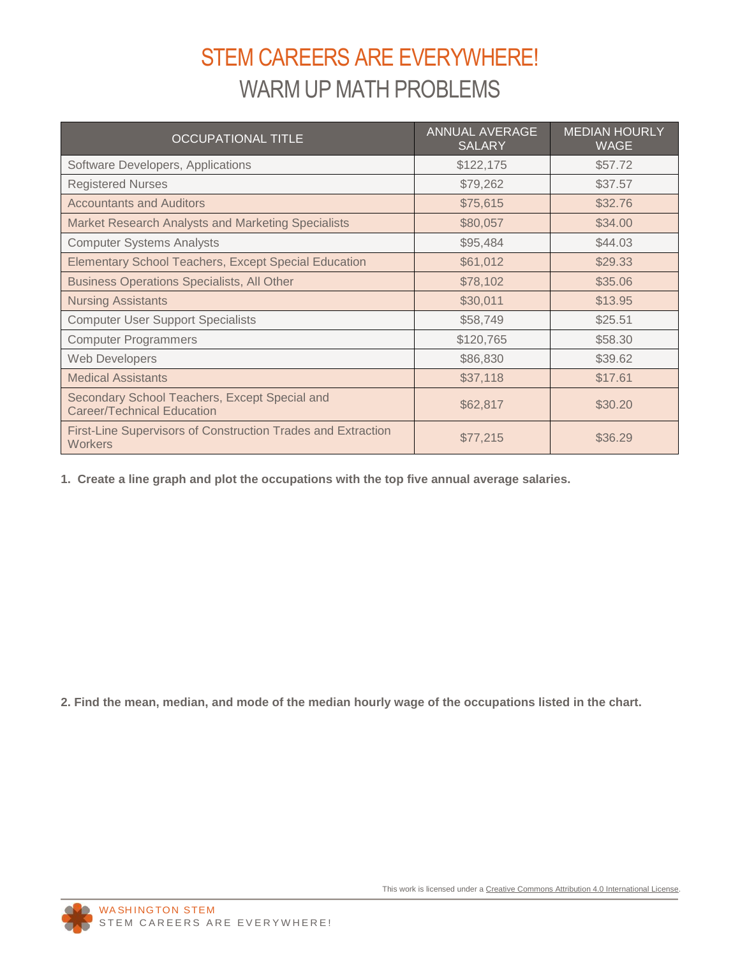# STEM CAREERS ARE EVERYWHERE! WARM UP MATH PROBLEMS

| <b>OCCUPATIONAL TITLE</b>                                                          | <b>ANNUAL AVERAGE</b><br><b>SALARY</b> | <b>MEDIAN HOURLY</b><br><b>WAGE</b> |
|------------------------------------------------------------------------------------|----------------------------------------|-------------------------------------|
| Software Developers, Applications                                                  | \$122,175                              | \$57.72                             |
| <b>Registered Nurses</b>                                                           | \$79,262                               | \$37.57                             |
| <b>Accountants and Auditors</b>                                                    | \$75,615                               | \$32.76                             |
| Market Research Analysts and Marketing Specialists                                 | \$80,057                               | \$34.00                             |
| <b>Computer Systems Analysts</b>                                                   | \$95,484                               | \$44.03                             |
| <b>Elementary School Teachers, Except Special Education</b>                        | \$61,012                               | \$29.33                             |
| <b>Business Operations Specialists, All Other</b>                                  | \$78,102                               | \$35.06                             |
| <b>Nursing Assistants</b>                                                          | \$30,011                               | \$13.95                             |
| <b>Computer User Support Specialists</b>                                           | \$58,749                               | \$25.51                             |
| <b>Computer Programmers</b>                                                        | \$120,765                              | \$58.30                             |
| Web Developers                                                                     | \$86,830                               | \$39.62                             |
| <b>Medical Assistants</b>                                                          | \$37,118                               | \$17.61                             |
| Secondary School Teachers, Except Special and<br><b>Career/Technical Education</b> | \$62,817                               | \$30.20                             |
| First-Line Supervisors of Construction Trades and Extraction<br><b>Workers</b>     | \$77,215                               | \$36.29                             |

**1. Create a line graph and plot the occupations with the top five annual average salaries.** 

**2. Find the mean, median, and mode of the median hourly wage of the occupations listed in the chart.** 

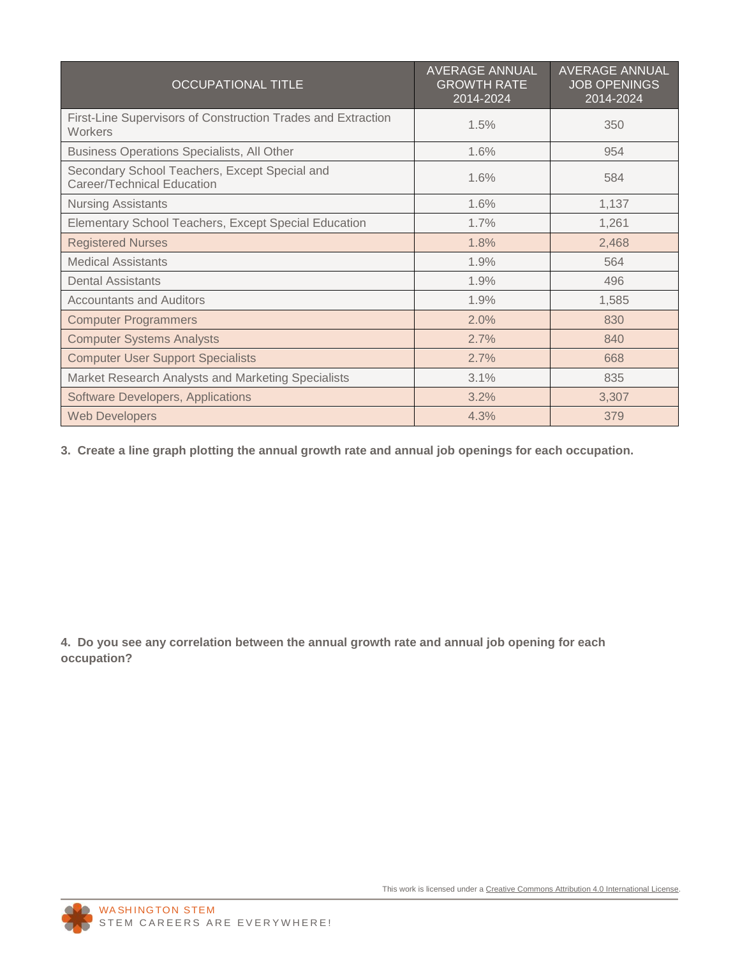| <b>OCCUPATIONAL TITLE</b>                                                   | <b>AVERAGE ANNUAL</b><br><b>GROWTH RATE</b><br>2014-2024 | AVERAGE ANNUAL<br><b>JOB OPENINGS</b><br>2014-2024 |
|-----------------------------------------------------------------------------|----------------------------------------------------------|----------------------------------------------------|
| First-Line Supervisors of Construction Trades and Extraction<br>Workers     | 1.5%                                                     | 350                                                |
| Business Operations Specialists, All Other                                  | 1.6%                                                     | 954                                                |
| Secondary School Teachers, Except Special and<br>Career/Technical Education | 1.6%                                                     | 584                                                |
| <b>Nursing Assistants</b>                                                   | 1.6%                                                     | 1,137                                              |
| Elementary School Teachers, Except Special Education                        | 1.7%                                                     | 1,261                                              |
| <b>Registered Nurses</b>                                                    | 1.8%                                                     | 2,468                                              |
| <b>Medical Assistants</b>                                                   | 1.9%                                                     | 564                                                |
| <b>Dental Assistants</b>                                                    | 1.9%                                                     | 496                                                |
| <b>Accountants and Auditors</b>                                             | 1.9%                                                     | 1,585                                              |
| <b>Computer Programmers</b>                                                 | 2.0%                                                     | 830                                                |
| <b>Computer Systems Analysts</b>                                            | 2.7%                                                     | 840                                                |
| <b>Computer User Support Specialists</b>                                    | 2.7%                                                     | 668                                                |
| Market Research Analysts and Marketing Specialists                          | 3.1%                                                     | 835                                                |
| Software Developers, Applications                                           | 3.2%                                                     | 3,307                                              |
| <b>Web Developers</b>                                                       | 4.3%                                                     | 379                                                |

**3. Create a line graph plotting the annual growth rate and annual job openings for each occupation.** 

**4. Do you see any correlation between the annual growth rate and annual job opening for each occupation?**

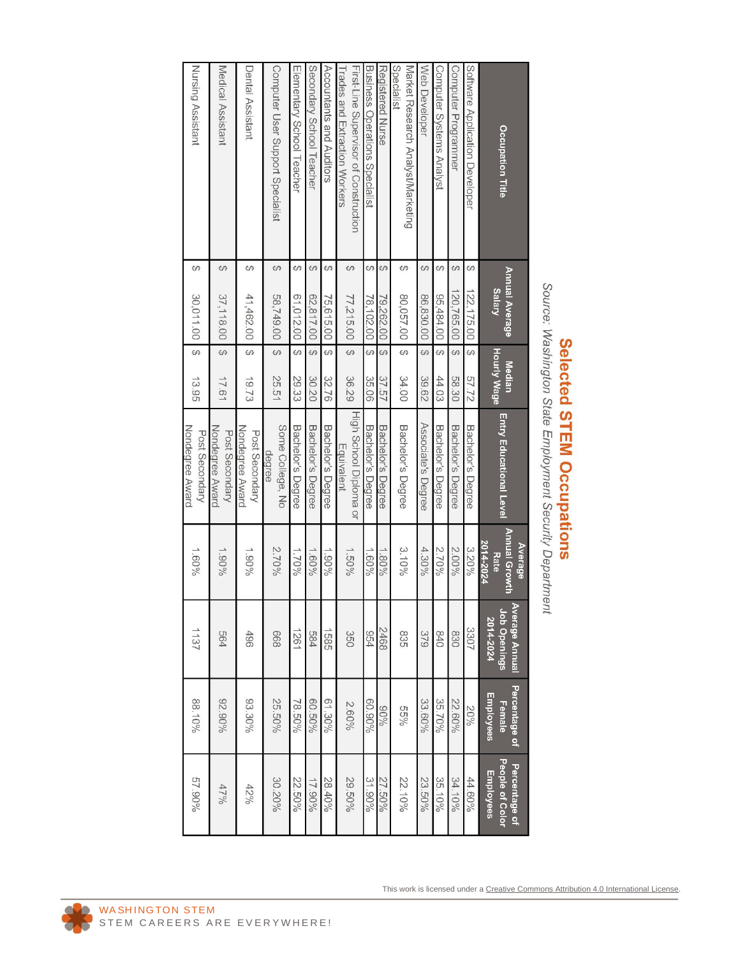| $u \sim$<br>¢<br>ŗ<br>I State Emp<br>-mployment Security Departme | $\zeta$<br>r<br><b>True</b><br>י אי אי אי |
|-------------------------------------------------------------------|-------------------------------------------|
|                                                                   |                                           |
|                                                                   |                                           |

|                                                                        |          |                                |                          |                              |                                      | Average                                   |                                                    |                                      |                                               |
|------------------------------------------------------------------------|----------|--------------------------------|--------------------------|------------------------------|--------------------------------------|-------------------------------------------|----------------------------------------------------|--------------------------------------|-----------------------------------------------|
| Occupation Title                                                       |          | Annual Average<br><b>Areas</b> |                          | Hourly Wage<br><b>Median</b> | <b>Entry Educational Level</b>       | <b>Annual Growth</b><br>2014-2024<br>Rate | <b>Average Annual</b><br>Job Openings<br>2014-2024 | Percentage of<br>Employees<br>Female | People of Color<br>Percentage of<br>Employees |
| Software Application Developer                                         | 69       | 122,175.00                     | ↔                        | 57.72                        | <b>Bachelor's Degree</b>             | 3.20%                                     | 3307                                               | 20%                                  | 44.60%                                        |
| Computer Programmer                                                    | $\omega$ | 120,765.00                     | ↔                        | 58.30                        | Bachelor's Degree                    | 2.00%                                     | 830                                                | 22.60%                               | 34.10%                                        |
| Computer Systems Analyst                                               | $\omega$ | 05,484.00                      | $\overline{\mathcal{G}}$ | 44.03                        | Bachelor's Degree                    | 2.70%                                     | 0+8                                                | 35.70%                               | 35.10%                                        |
| Web Developer                                                          | $\omega$ | 86,830.00                      | co.                      | 39.62                        | Associate's Degree                   | 4.30%                                     | 379                                                | 33.60%                               | 23.50%                                        |
| Market Research Analyst/Marketing<br>Specialist                        | 69       | 80,057.00                      | Ġ,                       | 34.00                        | Bachelor's Degree                    | $3.10\%$                                  | 835                                                | $55\%$                               | 22.10%                                        |
| Registered Nurse                                                       | 69       | 79.262.00                      | 6                        | 37.57                        | <b>Bachelor's Degree</b>             | $1.80\%$                                  | 2468                                               | %06                                  | 27.50%                                        |
| <b>Business Operations Specialist</b>                                  | S        | 78,102.00                      | ↔                        | 35.06                        | <b>Bachelor's Degree</b>             | $1.60\%$                                  | <b>b</b> 24                                        | 60.90%                               | 31.90%                                        |
| First-Line Supervisor of Construction<br>Trades and Extraction Workers | S        | 77,215.00                      | $\theta$                 | 36.29                        | High School Diploma or<br>Equivalent | $1.50\%$                                  | 350                                                | 2.60%                                | 29.50%                                        |
| Accountants and Auditors                                               | S        | 75,615.00                      | ↔                        | 32.76                        | Bachelor's Degree                    | $1.90\%$                                  | 1585                                               | 61.30%                               | 28.40%                                        |
| Secondary School Teacher                                               | $\omega$ | 02,817.00                      | 69                       | 30.20                        | <b>Bachelor's Degree</b>             | $1.60\%$                                  | 584                                                | 60.50%                               | $17.90\%$                                     |
| Elementary School Teacher                                              | $\omega$ | 00'312.00                      | $\omega$                 | 29.33                        | Bachelor's Degree                    | $1.70\%$                                  | 1261                                               | 78.50%                               | 22.50%                                        |
| Computer User Support Specialist                                       | $\omega$ | 58,749.00                      | $\overline{\mathcal{G}}$ | 25.51                        | Some College, No<br>degree           | 2.70%                                     | 899                                                | 25.50%                               | 30.20%                                        |
| Dental Assistant                                                       | <b>S</b> | 41,462.00                      | 69                       | 19.73                        | Nondegree Award<br>Post Secondary    | $1.90\%$                                  | 496                                                | 93.30%                               | 42%                                           |
| Medical Assistant                                                      | $\omega$ | 37,118.00                      | Ğ,                       | 17.61                        | Nondegree Award<br>Post Secondary    | $1.90\%$                                  | <b>P99</b>                                         | 95.90%                               | 479,66                                        |
| Nursing Assistant                                                      | S        | 30,011.00                      | ↔                        | 13.95                        | Nondegree Award<br>Post Secondary    | 1.609 <sub>0</sub>                        | 1137                                               | 88.10%                               | 57.90%                                        |

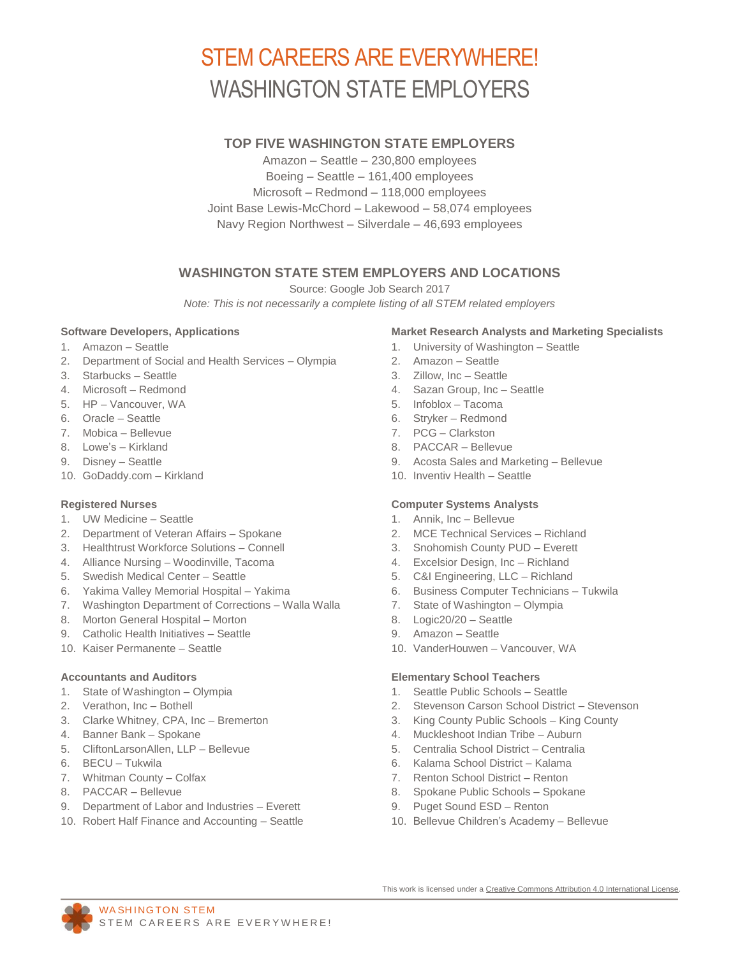# STEM CAREERS ARE EVERYWHERE! WASHINGTON STATE EMPLOYERS

### **TOP FIVE WASHINGTON STATE EMPLOYERS**

Amazon – Seattle – 230,800 employees Boeing – Seattle – 161,400 employees Microsoft – Redmond – 118,000 employees Joint Base Lewis-McChord – Lakewood – 58,074 employees Navy Region Northwest – Silverdale – 46,693 employees

## **WASHINGTON STATE STEM EMPLOYERS AND LOCATIONS**

Source: Google Job Search 2017

*Note: This is not necessarily a complete listing of all STEM related employers*

#### **Software Developers, Applications**

- 1. Amazon Seattle
- 2. Department of Social and Health Services Olympia
- 3. Starbucks Seattle
- 4. Microsoft Redmond
- 5. HP Vancouver, WA
- 6. Oracle Seattle
- 7. Mobica Bellevue
- 8. Lowe's Kirkland
- 9. Disney Seattle
- 10. GoDaddy.com Kirkland

#### **Registered Nurses**

- 1. UW Medicine Seattle
- 2. Department of Veteran Affairs Spokane
- 3. Healthtrust Workforce Solutions Connell
- 4. Alliance Nursing Woodinville, Tacoma
- 5. Swedish Medical Center Seattle
- 6. Yakima Valley Memorial Hospital Yakima
- 7. Washington Department of Corrections Walla Walla
- 8. Morton General Hospital Morton
- 9. Catholic Health Initiatives Seattle
- 10. Kaiser Permanente Seattle

#### **Accountants and Auditors**

- 1. State of Washington Olympia
- 2. Verathon, Inc Bothell
- 3. Clarke Whitney, CPA, Inc Bremerton
- 4. Banner Bank Spokane
- 5. CliftonLarsonAllen, LLP Bellevue
- 6. BECU Tukwila
- 7. Whitman County Colfax
- 8. PACCAR Bellevue
- 9. Department of Labor and Industries Everett
- 10. Robert Half Finance and Accounting Seattle

#### **Market Research Analysts and Marketing Specialists**

- 1. University of Washington Seattle
- 2. Amazon Seattle
- 3. Zillow, Inc Seattle
- 4. Sazan Group, Inc Seattle
- 5. Infoblox Tacoma
- 6. Stryker Redmond
- 7. PCG Clarkston
- 8. PACCAR Bellevue
- 9. Acosta Sales and Marketing Bellevue
- 10. Inventiv Health Seattle

#### **Computer Systems Analysts**

- 1. Annik, Inc Bellevue
- 2. MCE Technical Services Richland
- 3. Snohomish County PUD Everett
- 4. Excelsior Design, Inc Richland
- 5. C&I Engineering, LLC Richland
- 6. Business Computer Technicians Tukwila
- 7. State of Washington Olympia
- 8. Logic20/20 Seattle
- 9. Amazon Seattle
- 10. VanderHouwen Vancouver, WA

#### **Elementary School Teachers**

- 1. Seattle Public Schools Seattle
- 2. Stevenson Carson School District Stevenson
- 3. King County Public Schools King County
- 4. Muckleshoot Indian Tribe Auburn
- 5. Centralia School District Centralia
- 6. Kalama School District Kalama
- 7. Renton School District Renton
- 8. Spokane Public Schools Spokane
- 9. Puget Sound ESD Renton
- 10. Bellevue Children's Academy Bellevue



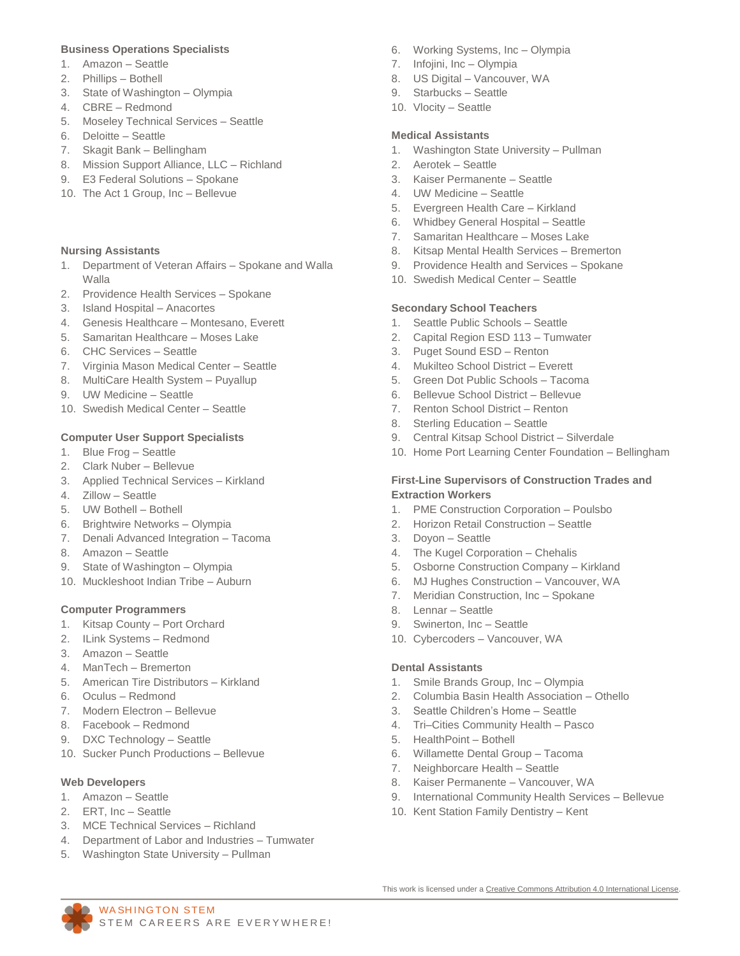#### **Business Operations Specialists**

- 1. Amazon Seattle
- 2. Phillips Bothell
- 3. State of Washington Olympia
- 4. CBRE Redmond
- 5. Moseley Technical Services Seattle
- 6. Deloitte Seattle
- 7. Skagit Bank Bellingham
- 8. Mission Support Alliance, LLC Richland
- 9. E3 Federal Solutions Spokane
- 10. The Act 1 Group, Inc Bellevue

#### **Nursing Assistants**

- 1. Department of Veteran Affairs Spokane and Walla Walla
- 2. Providence Health Services Spokane
- 3. Island Hospital Anacortes
- 4. Genesis Healthcare Montesano, Everett
- 5. Samaritan Healthcare Moses Lake
- 6. CHC Services Seattle
- 7. Virginia Mason Medical Center Seattle
- 8. MultiCare Health System Puyallup
- 9. UW Medicine Seattle
- 10. Swedish Medical Center Seattle

#### **Computer User Support Specialists**

- 1. Blue Frog Seattle
- 2. Clark Nuber Bellevue
- 3. Applied Technical Services Kirkland
- 4. Zillow Seattle
- 5. UW Bothell Bothell
- 6. Brightwire Networks Olympia
- 7. Denali Advanced Integration Tacoma
- 8. Amazon Seattle
- 9. State of Washington Olympia
- 10. Muckleshoot Indian Tribe Auburn

#### **Computer Programmers**

- 1. Kitsap County Port Orchard
- 2. ILink Systems Redmond
- 3. Amazon Seattle
- 4. ManTech Bremerton
- 5. American Tire Distributors Kirkland
- 6. Oculus Redmond
- 7. Modern Electron Bellevue
- 8. Facebook Redmond
- 9. DXC Technology Seattle
- 10. Sucker Punch Productions Bellevue

#### **Web Developers**

- 1. Amazon Seattle
- 2. ERT, Inc Seattle
- 3. MCE Technical Services Richland
- 4. Department of Labor and Industries Tumwater

STEM CAREERS ARE EVERYWHERE!

5. Washington State University – Pullman

WA SHING TON STEM

- 6. Working Systems, Inc Olympia
- 7. Infojini, Inc Olympia
- 8. US Digital Vancouver, WA
- 9. Starbucks Seattle
- 10. Vlocity Seattle

#### **Medical Assistants**

- 1. Washington State University Pullman
- 2. Aerotek Seattle
- 3. Kaiser Permanente Seattle
- 4. UW Medicine Seattle
- 5. Evergreen Health Care Kirkland
- 6. Whidbey General Hospital Seattle
- 7. Samaritan Healthcare Moses Lake
- 8. Kitsap Mental Health Services Bremerton
- 9. Providence Health and Services Spokane
- 10. Swedish Medical Center Seattle

#### **Secondary School Teachers**

- 1. Seattle Public Schools Seattle
- 2. Capital Region ESD 113 Tumwater
- 3. Puget Sound ESD Renton
- 4. Mukilteo School District Everett
- 5. Green Dot Public Schools Tacoma
- 6. Bellevue School District Bellevue
- 7. Renton School District Renton
- 8. Sterling Education Seattle
- 9. Central Kitsap School District Silverdale
- 10. Home Port Learning Center Foundation Bellingham

#### **First-Line Supervisors of Construction Trades and Extraction Workers**

- 1. PME Construction Corporation Poulsbo
- 2. Horizon Retail Construction Seattle
- 3. Doyon Seattle
- 4. The Kugel Corporation Chehalis
- 5. Osborne Construction Company Kirkland
- 6. MJ Hughes Construction Vancouver, WA
- 7. Meridian Construction, Inc Spokane
- 8. Lennar Seattle
- 9. Swinerton, Inc Seattle
- 10. Cybercoders Vancouver, WA

#### **Dental Assistants**

- 1. Smile Brands Group, Inc Olympia
- 2. Columbia Basin Health Association Othello
- 3. Seattle Children's Home Seattle
- 4. Tri–Cities Community Health Pasco
- 5. HealthPoint Bothell
- 6. Willamette Dental Group Tacoma
- 7. Neighborcare Health Seattle
- 8. Kaiser Permanente Vancouver, WA
- 9. International Community Health Services Bellevue
- 10. Kent Station Family Dentistry Kent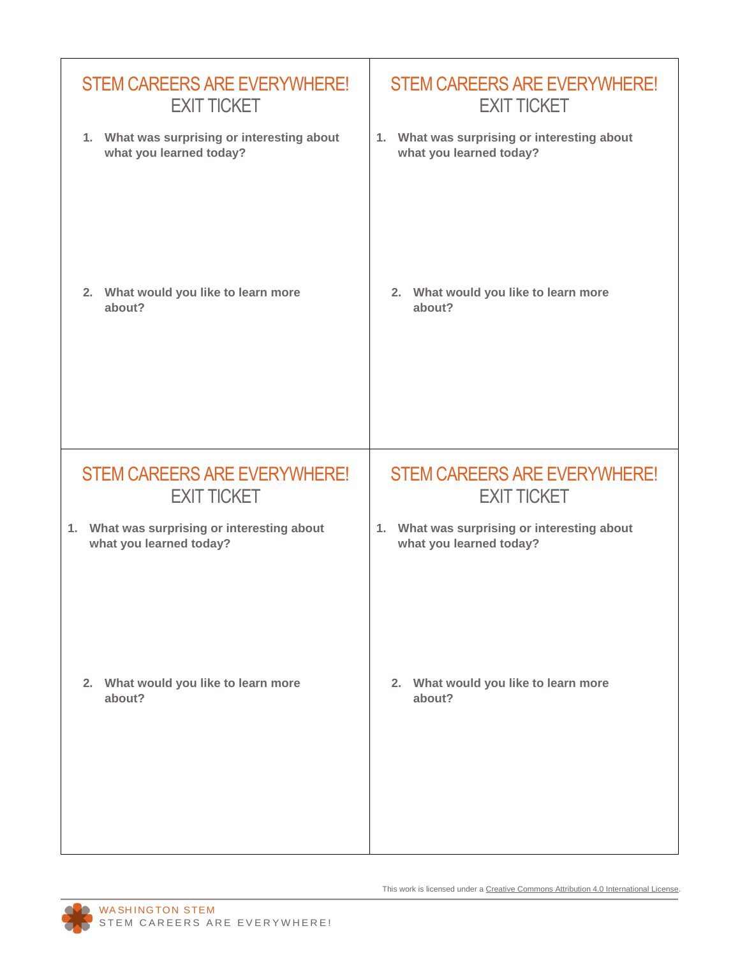| <b>STEM CAREERS ARE EVERYWHERE!</b>         | <b>STEM CAREERS ARE EVERYWHERE!</b>         |
|---------------------------------------------|---------------------------------------------|
| <b>EXIT TICKET</b>                          | <b>EXIT TICKET</b>                          |
| 1. What was surprising or interesting about | 1. What was surprising or interesting about |
| what you learned today?                     | what you learned today?                     |
| 2. What would you like to learn more        | 2. What would you like to learn more        |
| about?                                      | about?                                      |
| <b>STEM CAREERS ARE EVERYWHERE!</b>         | <b>STEM CAREERS ARE EVERYWHERE!</b>         |
| <b>EXIT TICKET</b>                          | <b>EXIT TICKET</b>                          |
| 1. What was surprising or interesting about | 1. What was surprising or interesting about |
| what you learned today?                     | what you learned today?                     |
| 2. What would you like to learn more        | 2. What would you like to learn more        |
| about?                                      | about?                                      |

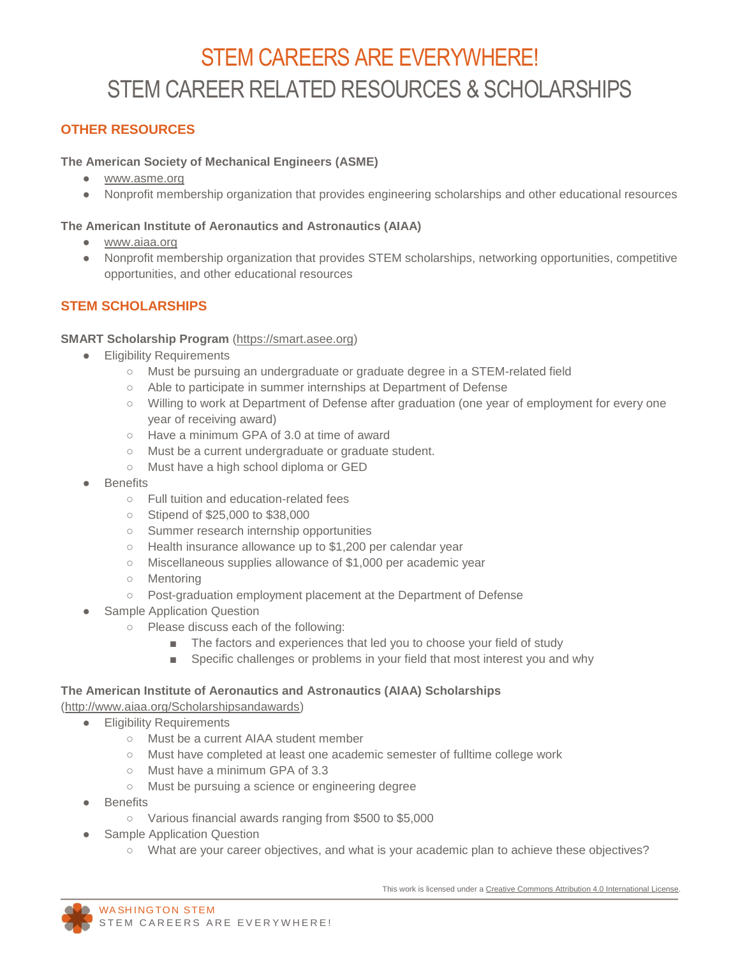# STEM CAREERS ARE EVERYWHERE! STEM CAREER RELATED RESOURCES & SCHOLARSHIPS

# **OTHER RESOURCES**

### **The American Society of Mechanical Engineers (ASME)**

- [www.asme.org](http://www.asme.org/)
- Nonprofit membership organization that provides engineering scholarships and other educational resources

### **The American Institute of Aeronautics and Astronautics (AIAA)**

- [www.aiaa.org](http://www.aiaa.org/)
- Nonprofit membership organization that provides STEM scholarships, networking opportunities, competitive opportunities, and other educational resources

# **STEM SCHOLARSHIPS**

### **SMART Scholarship Program** [\(https://smart.asee.org\)](https://smart.asee.org/)

- **•** Eligibility Requirements
	- Must be pursuing an undergraduate or graduate degree in a STEM-related field
	- Able to participate in summer internships at Department of Defense
	- Willing to work at Department of Defense after graduation (one year of employment for every one year of receiving award)
	- Have a minimum GPA of 3.0 at time of award
	- Must be a current undergraduate or graduate student.
	- Must have a high school diploma or GED
- **Benefits** 
	- Full tuition and education-related fees
	- Stipend of \$25,000 to \$38,000
	- Summer research internship opportunities
	- Health insurance allowance up to \$1,200 per calendar year
	- Miscellaneous supplies allowance of \$1,000 per academic year
	- Mentoring
	- Post-graduation employment placement at the Department of Defense
- **Sample Application Question** 
	- Please discuss each of the following:
		- The factors and experiences that led you to choose your field of study
		- Specific challenges or problems in your field that most interest you and why

### **The American Institute of Aeronautics and Astronautics (AIAA) Scholarships**

[\(http://www.aiaa.org/Scholarshipsandawards\)](http://www.aiaa.org/Scholarshipsandawards)

- **•** Eligibility Requirements
	- Must be a current AIAA student member
	- Must have completed at least one academic semester of fulltime college work
	- Must have a minimum GPA of 3.3
	- Must be pursuing a science or engineering degree
- **Benefits** 
	- Various financial awards ranging from \$500 to \$5,000
- **Sample Application Question** 
	- What are your career objectives, and what is your academic plan to achieve these objectives?